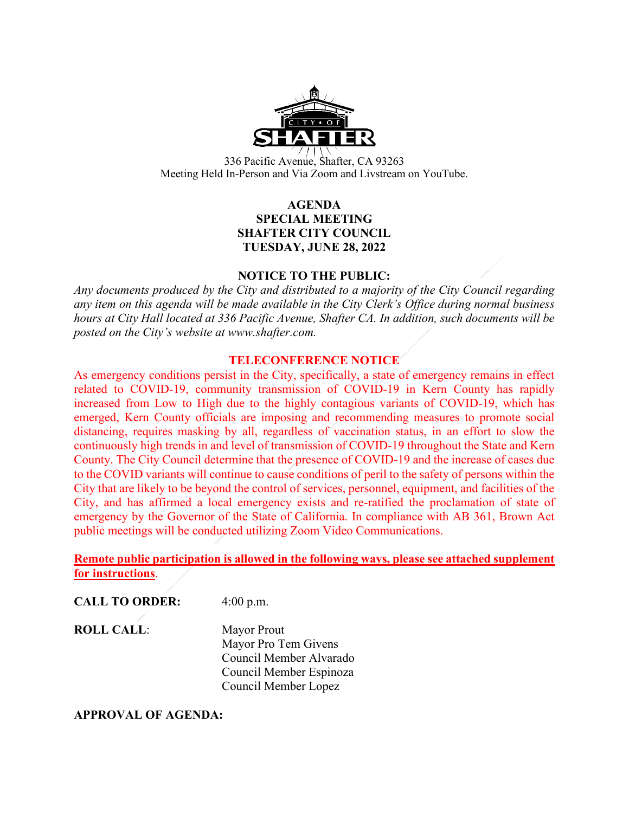

336 Pacific Avenue, Shafter, CA 93263 Meeting Held In-Person and Via Zoom and Livstream on YouTube.

# **AGENDA SPECIAL MEETING SHAFTER CITY COUNCIL TUESDAY, JUNE 28, 2022**

#### **NOTICE TO THE PUBLIC:**

*Any documents produced by the City and distributed to a majority of the City Council regarding any item on this agenda will be made available in the City Clerk's Office during normal business hours at City Hall located at 336 Pacific Avenue, Shafter CA. In addition, such documents will be posted on the City's website at www.shafter.com.* 

#### **TELECONFERENCE NOTICE**

As emergency conditions persist in the City, specifically, a state of emergency remains in effect related to COVID-19, community transmission of COVID-19 in Kern County has rapidly increased from Low to High due to the highly contagious variants of COVID-19, which has emerged, Kern County officials are imposing and recommending measures to promote social distancing, requires masking by all, regardless of vaccination status, in an effort to slow the continuously high trends in and level of transmission of COVID-19 throughout the State and Kern County. The City Council determine that the presence of COVID-19 and the increase of cases due to the COVID variants will continue to cause conditions of peril to the safety of persons within the City that are likely to be beyond the control of services, personnel, equipment, and facilities of the City, and has affirmed a local emergency exists and re-ratified the proclamation of state of emergency by the Governor of the State of California. In compliance with AB 361, Brown Act public meetings will be conducted utilizing Zoom Video Communications.

**Remote public participation is allowed in the following ways, please see attached supplement for instructions**.

**CALL TO ORDER:** 4:00 p.m.

**ROLL CALL:** Mayor Prout

Mayor Pro Tem Givens Council Member Alvarado Council Member Espinoza Council Member Lopez

#### **APPROVAL OF AGENDA:**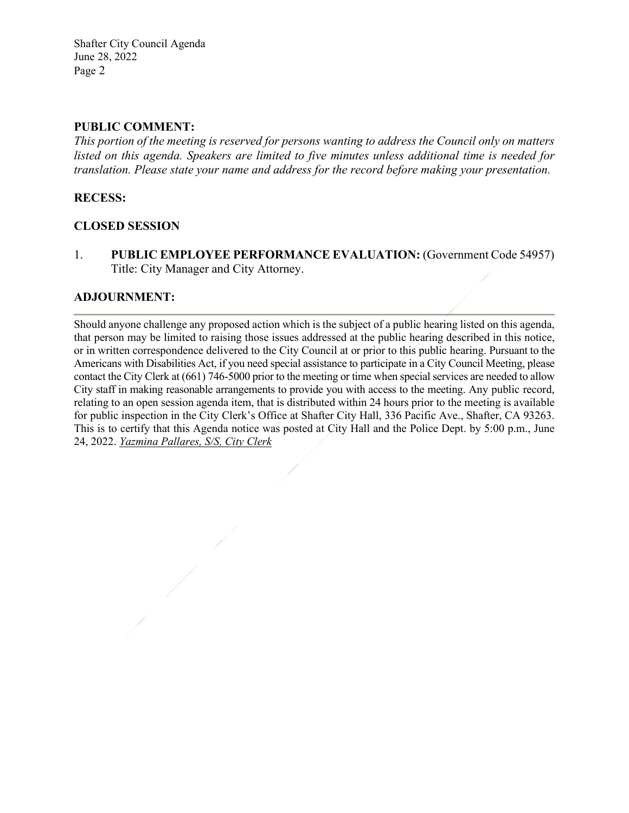Shafter City Council Agenda June 28, 2022 Page 2

## **PUBLIC COMMENT:**

*This portion of the meeting is reserved for persons wanting to address the Council only on matters listed on this agenda. Speakers are limited to five minutes unless additional time is needed for translation. Please state your name and address for the record before making your presentation.* 

## **RECESS:**

## **CLOSED SESSION**

1. **PUBLIC EMPLOYEE PERFORMANCE EVALUATION:** (Government Code 54957) Title: City Manager and City Attorney.

## **ADJOURNMENT:**

Should anyone challenge any proposed action which is the subject of a public hearing listed on this agenda, that person may be limited to raising those issues addressed at the public hearing described in this notice, or in written correspondence delivered to the City Council at or prior to this public hearing. Pursuant to the Americans with Disabilities Act, if you need special assistance to participate in a City Council Meeting, please contact the City Clerk at (661) 746-5000 prior to the meeting or time when special services are needed to allow City staff in making reasonable arrangements to provide you with access to the meeting. Any public record, relating to an open session agenda item, that is distributed within 24 hours prior to the meeting is available for public inspection in the City Clerk's Office at Shafter City Hall, 336 Pacific Ave., Shafter, CA 93263. This is to certify that this Agenda notice was posted at City Hall and the Police Dept. by 5:00 p.m., June 24, 2022. *Yazmina Pallares, S/S, City Clerk*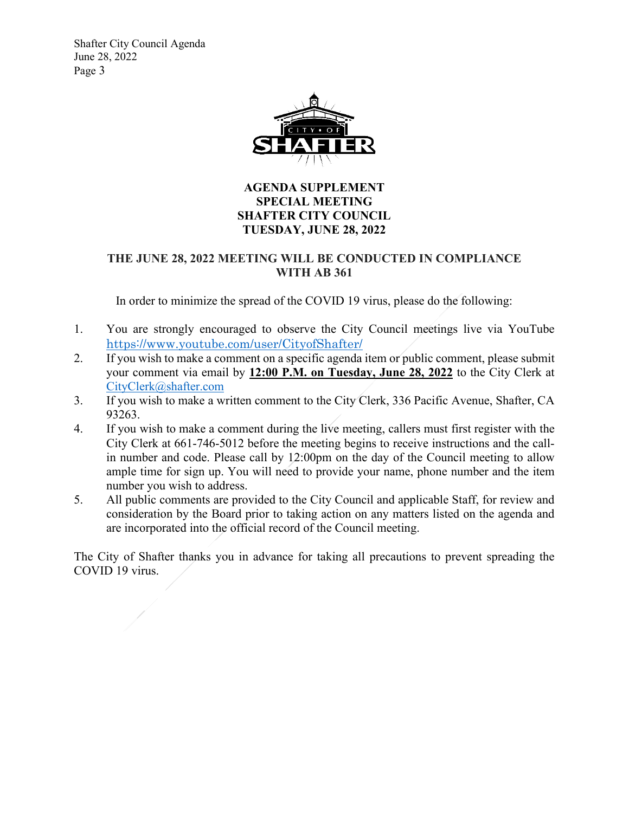Shafter City Council Agenda June 28, 2022 Page 3



# **AGENDA SUPPLEMENT SPECIAL MEETING SHAFTER CITY COUNCIL TUESDAY, JUNE 28, 2022**

# **THE JUNE 28, 2022 MEETING WILL BE CONDUCTED IN COMPLIANCE WITH AB 361**

In order to minimize the spread of the COVID 19 virus, please do the following:

- 1. You are strongly encouraged to observe the City Council meetings live via YouTube <https://www.youtube.com/user/CityofShafter/>
- 2. If you wish to make a comment on a specific agenda item or public comment, please submit your comment via email by **12:00 P.M. on Tuesday, June 28, 2022** to the City Clerk at [CityClerk@shafter.com](mailto:CityClerk@shafter.com)
- 3. If you wish to make a written comment to the City Clerk, 336 Pacific Avenue, Shafter, CA 93263.
- 4. If you wish to make a comment during the live meeting, callers must first register with the City Clerk at 661-746-5012 before the meeting begins to receive instructions and the callin number and code. Please call by 12:00pm on the day of the Council meeting to allow ample time for sign up. You will need to provide your name, phone number and the item number you wish to address.
- 5. All public comments are provided to the City Council and applicable Staff, for review and consideration by the Board prior to taking action on any matters listed on the agenda and are incorporated into the official record of the Council meeting.

The City of Shafter thanks you in advance for taking all precautions to prevent spreading the COVID 19 virus.